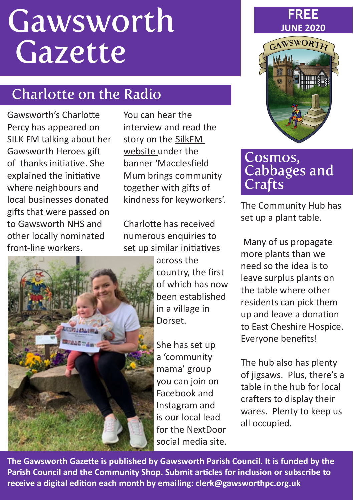# Gawsworth Gazette

# Charlotte on the Radio

Gawsworth's Charlotte Percy has appeared on SILK FM talking about her Gawsworth Heroes gift of thanks initiative. She explained the initiative where neighbours and local businesses donated gifts that were passed on to Gawsworth NHS and other locally nominated front-line workers.

You can hear the interview and read the story on the [SilkFM](https://www.silk1069.com/news/local-news/macclesfield-mum-brings-community-together-with-gifts-of-kindness-for-keyworkers/%3Ffbclid%3DIwAR3MizAg1zXFti6wivlQPQlLmYrp0loa_HTBcM3UVdlVhRRPfnJfCumzGjw)  [website](https://www.silk1069.com/news/local-news/macclesfield-mum-brings-community-together-with-gifts-of-kindness-for-keyworkers/%3Ffbclid%3DIwAR3MizAg1zXFti6wivlQPQlLmYrp0loa_HTBcM3UVdlVhRRPfnJfCumzGjw) under the banner 'Macclesfield Mum brings community together with gifts of kindness for keyworkers'.

Charlotte has received numerous enquiries to set up similar initiatives



across the country, the first of which has now been established in a village in Dorset.

She has set up a 'community mama' group you can join on Facebook and Instagram and is our local lead for the NextDoor social media site.





#### Cosmos, Cabbages and Crafts

The Community Hub has set up a plant table.

 Many of us propagate more plants than we need so the idea is to leave surplus plants on the table where other residents can pick them up and leave a donation to East Cheshire Hospice. Everyone benefits!

The hub also has plenty of jigsaws. Plus, there's a table in the hub for local crafters to display their wares. Plenty to keep us all occupied.

**The Gawsworth Gazette is published by Gawsworth Parish Council. It is funded by the Parish Council and the Community Shop. Submit articles for inclusion or subscribe to receive a digital edition each month by emailing: [clerk@gawsworthpc.org.uk](mailto:clerk%40gawsworthpc.org.uk?subject=Send%20me%20the%20Gazette%21)**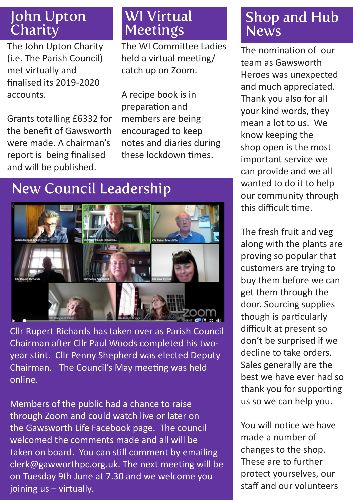#### John Upton **Charity**

The John Upton Charity (i.e. The Parish Council) met virtually and finalised its 2019-2020 accounts.

Grants totalling £6332 for the benefit of Gawsworth were made. A chairman's report is being finalised and will be published.

## WI Virtual Meetings

The WI Committee Ladies held a virtual meeting/ catch up on Zoom.

A recipe book is in preparation and members are being encouraged to keep notes and diaries during these lockdown times.

## New Council Leadership



Cllr Rupert Richards has taken over as Parish Council Chairman after Cllr Paul Woods completed his twoyear stint. Cllr Penny Shepherd was elected Deputy Chairman. The Council's May meeting was held online.

Members of the public had a chance to raise through Zoom and could watch live or later on the Gawsworth Life Facebook page. The council welcomed the comments made and all will be taken on board. You can still comment by emailing clerk@gawworthpc.org.uk. The next meeting will be on Tuesday 9th June at 7.30 and we welcome you joining us – virtually.

### Shop and Hub **News**

The nomination of our team as Gawsworth Heroes was unexpected and much appreciated. Thank you also for all your kind words, they mean a lot to us. We know keeping the shop open is the most important service we can provide and we all wanted to do it to help our community through this difficult time.

The fresh fruit and veg along with the plants are proving so popular that customers are trying to buy them before we can get them through the door. Sourcing supplies though is particularly difficult at present so don't be surprised if we decline to take orders. Sales generally are the best we have ever had so thank you for supporting us so we can help you.

You will notice we have made a number of changes to the shop. These are to further protect yourselves, our staff and our volunteers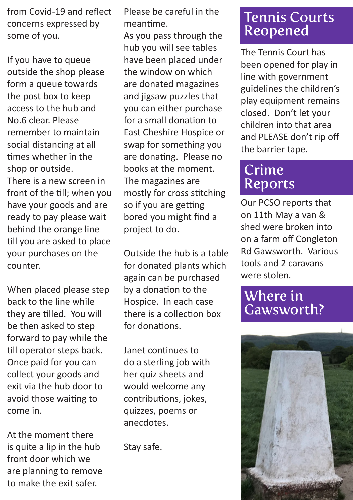from Covid-19 and reflect concerns expressed by some of you.

If you have to queue outside the shop please form a queue towards the post box to keep access to the hub and No.6 clear. Please remember to maintain social distancing at all times whether in the shop or outside. There is a new screen in front of the till; when you have your goods and are ready to pay please wait behind the orange line till you are asked to place your purchases on the counter.

When placed please step back to the line while they are tilled. You will be then asked to step forward to pay while the till operator steps back. Once paid for you can collect your goods and exit via the hub door to avoid those waiting to come in.

At the moment there is quite a lip in the hub front door which we are planning to remove to make the exit safer.

Please be careful in the meantime.

As you pass through the hub you will see tables have been placed under the window on which are donated magazines and jigsaw puzzles that you can either purchase for a small donation to East Cheshire Hospice or swap for something you are donating. Please no books at the moment. The magazines are mostly for cross stitching so if you are getting bored you might find a project to do.

Outside the hub is a table for donated plants which again can be purchased by a donation to the Hospice. In each case there is a collection box for donations.

Janet continues to do a sterling job with her quiz sheets and would welcome any contributions, jokes, quizzes, poems or anecdotes.

Stay safe.

#### Tennis Courts Reopened

The Tennis Court has been opened for play in line with government guidelines the children's play equipment remains closed. Don't let your children into that area and PLEASE don't rip off the barrier tape.

## Crime Reports

Our PCSO reports that on 11th May a van & shed were broken into on a farm off Congleton Rd Gawsworth. Various tools and 2 caravans were stolen.

#### Where in Gawsworth?